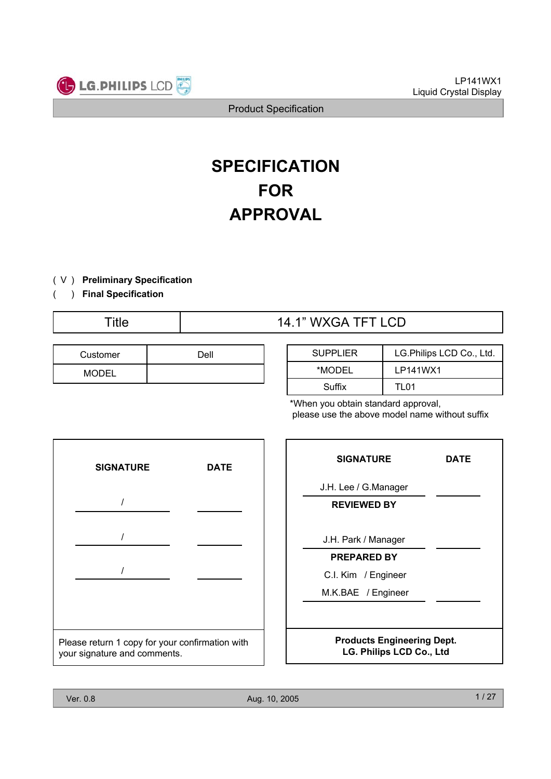

# **SPECIFICATION FOR APPROVAL**

- ) ( V **Preliminary Specification**
- ) **Final Specification** (

# Title  $14.1$ " WXGA TFT LCD

| Customer     | Dell |
|--------------|------|
| <b>MODEL</b> |      |

| <b>SUPPLIER</b> | LG. Philips LCD Co., Ltd. |
|-----------------|---------------------------|
| *MODEL          | LP141WX1                  |
| Suffix          | TI 01                     |

\*When you obtain standard approval, please use the above model name without suffix



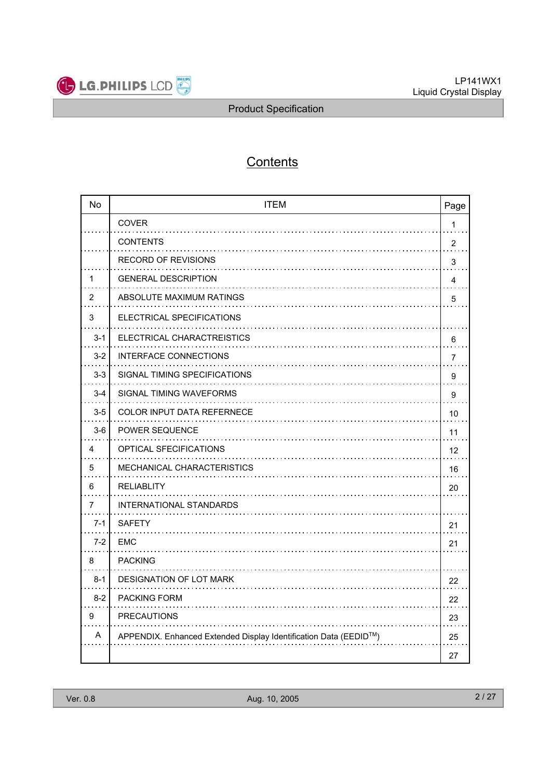

# **Contents**

| <b>No</b>      | <b>ITEM</b>                                                      | Page           |
|----------------|------------------------------------------------------------------|----------------|
|                | COVER                                                            | $\mathbf{1}$   |
|                | <b>CONTENTS</b><br>.                                             | $\overline{2}$ |
|                | <b>RECORD OF REVISIONS</b>                                       | 3              |
| 1              | <b>GENERAL DESCRIPTION</b>                                       | 4              |
| $\overline{2}$ | ABSOLUTE MAXIMUM RATINGS                                         | 5              |
| 3              | ELECTRICAL SPECIFICATIONS                                        |                |
| $3 - 1$        | ELECTRICAL CHARACTREISTICS                                       | 6              |
| $3 - 2$        | <b>INTERFACE CONNECTIONS</b>                                     | 7              |
| $3 - 3$        | SIGNAL TIMING SPECIFICATIONS                                     | 9              |
| $3 - 4$        | SIGNAL TIMING WAVEFORMS                                          | 9              |
| $3-5$          | <b>COLOR INPUT DATA REFERNECE</b>                                | 10             |
| $3-6$          | POWER SEQUENCE                                                   | 11             |
| 4              | OPTICAL SFECIFICATIONS                                           | 12             |
| 5              | <b>MECHANICAL CHARACTERISTICS</b>                                | 16             |
| 6              | <b>RELIABLITY</b>                                                | 20             |
| 7              | <b>INTERNATIONAL STANDARDS</b>                                   |                |
| $7 - 1$        | <b>SAFETY</b>                                                    | 21             |
| $7-2$          | <b>EMC</b>                                                       | 21             |
| 8              | <b>PACKING</b>                                                   |                |
| $8 - 1$        | DESIGNATION OF LOT MARK                                          | 22             |
| $8 - 2$        | <b>PACKING FORM</b>                                              | 22             |
| 9              | <b>PRECAUTIONS</b>                                               | 23             |
| A              | APPENDIX. Enhanced Extended Display Identification Data (EEDID™) | 25             |
|                |                                                                  | 27             |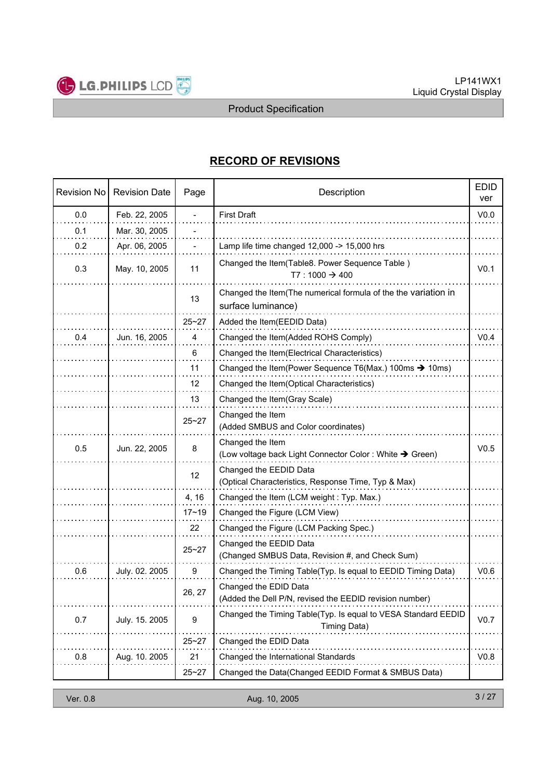

# **RECORD OF REVISIONS**

| <b>Revision No</b> | <b>Revision Date</b> | Page      | <b>EDID</b><br>Description                                                           |                  |  |  |
|--------------------|----------------------|-----------|--------------------------------------------------------------------------------------|------------------|--|--|
| 0.0                | Feb. 22, 2005        |           | <b>First Draft</b>                                                                   | V <sub>0.0</sub> |  |  |
| 0.1                | Mar. 30, 2005        |           |                                                                                      |                  |  |  |
| 0.2                | Apr. 06, 2005        |           | Lamp life time changed 12,000 -> 15,000 hrs                                          |                  |  |  |
| 0.3                | May. 10, 2005        | 11        | Changed the Item(Table8. Power Sequence Table)<br>$T7:1000 \t 3400$                  | V <sub>0.1</sub> |  |  |
|                    |                      | 13        | Changed the Item(The numerical formula of the the variation in<br>surface luminance) |                  |  |  |
|                    |                      | $25 - 27$ | Added the Item(EEDID Data)                                                           |                  |  |  |
| 0.4                | Jun. 16, 2005        | 4         | Changed the Item(Added ROHS Comply)                                                  | V <sub>0.4</sub> |  |  |
|                    |                      | 6         | Changed the Item(Electrical Characteristics)                                         |                  |  |  |
|                    |                      | 11        | Changed the Item (Power Sequence T6(Max.) 100ms $\rightarrow$ 10ms)                  |                  |  |  |
|                    |                      | 12        | Changed the Item(Optical Characteristics)                                            |                  |  |  |
|                    |                      | 13        | Changed the Item(Gray Scale)                                                         |                  |  |  |
|                    |                      | $25 - 27$ | Changed the Item<br>(Added SMBUS and Color coordinates)                              |                  |  |  |
| 0.5                | Jun. 22, 2005        | 8         | Changed the Item<br>(Low voltage back Light Connector Color : White → Green)         | V <sub>0.5</sub> |  |  |
|                    |                      | 12        | Changed the EEDID Data<br>(Optical Characteristics, Response Time, Typ & Max)        |                  |  |  |
|                    |                      | 4, 16     | Changed the Item (LCM weight: Typ. Max.)                                             |                  |  |  |
|                    |                      | $17 - 19$ | Changed the Figure (LCM View)                                                        |                  |  |  |
|                    |                      | 22        | Changed the Figure (LCM Packing Spec.)                                               |                  |  |  |
|                    |                      | $25 - 27$ | Changed the EEDID Data<br>(Changed SMBUS Data, Revision #, and Check Sum)            |                  |  |  |
| 0.6                | July. 02. 2005       | 9         | Changed the Timing Table(Typ. Is equal to EEDID Timing Data)                         | V <sub>0.6</sub> |  |  |
|                    |                      | 26, 27    | Changed the EDID Data<br>(Added the Dell P/N, revised the EEDID revision number)     |                  |  |  |
| 0.7                | July. 15. 2005       | 9         | Changed the Timing Table(Typ. Is equal to VESA Standard EEDID<br>Timing Data)        | V0.7             |  |  |
|                    |                      | $25 - 27$ | Changed the EDID Data                                                                |                  |  |  |
| 0.8                | Aug. 10. 2005        | 21        | Changed the International Standards                                                  | V <sub>0.8</sub> |  |  |
|                    |                      | $25 - 27$ | Changed the Data(Changed EEDID Format & SMBUS Data)                                  |                  |  |  |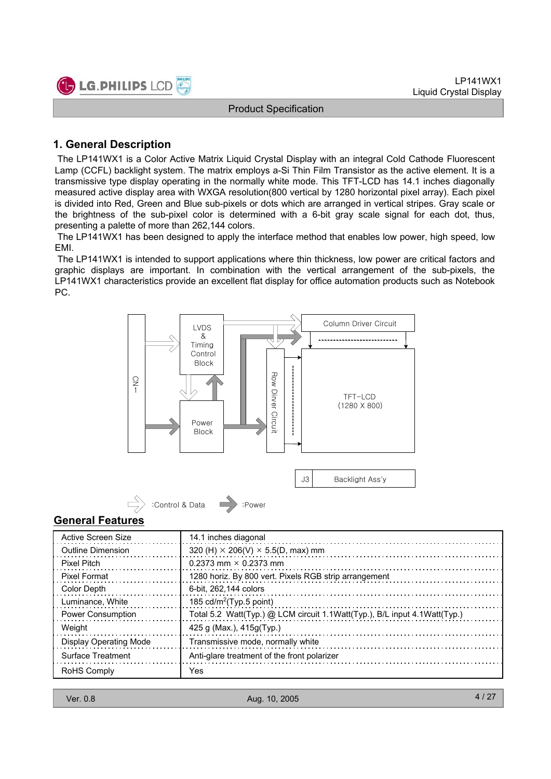

### **1. General Description**

The LP141WX1 is a Color Active Matrix Liquid Crystal Display with an integral Cold Cathode Fluorescent Lamp (CCFL) backlight system. The matrix employs a-Si Thin Film Transistor as the active element. It is a transmissive type display operating in the normally white mode. This TFT-LCD has 14.1 inches diagonally measured active display area with WXGA resolution(800 vertical by 1280 horizontal pixel array). Each pixel is divided into Red, Green and Blue sub-pixels or dots which are arranged in vertical stripes. Gray scale or the brightness of the sub-pixel color is determined with a 6-bit gray scale signal for each dot, thus, presenting a palette of more than 262,144 colors.

The LP141WX1 has been designed to apply the interface method that enables low power, high speed, low EMI.

The LP141WX1 is intended to support applications where thin thickness, low power are critical factors and graphic displays are important. In combination with the vertical arrangement of the sub-pixels, the LP141WX1 characteristics provide an excellent flat display for office automation products such as Notebook PC.



### **General Features**

| Active Screen Size            | 14.1 inches diagonal                                                      |
|-------------------------------|---------------------------------------------------------------------------|
| Outline Dimension             | 320 (H) $\times$ 206(V) $\times$ 5.5(D, max) mm                           |
| <b>Pixel Pitch</b>            | 0.2373 mm $\times$ 0.2373 mm                                              |
| Pixel Format                  | 1280 horiz. By 800 vert. Pixels RGB strip arrangement                     |
| Color Depth                   | 6-bit, 262,144 colors                                                     |
| Luminance, White              | 185 cd/m <sup>2</sup> (Typ.5 point)                                       |
| Power Consumption             | Total 5.2 Watt(Typ.) @ LCM circuit 1.1Watt(Typ.), B/L input 4.1Watt(Typ.) |
| Weight                        | 425 g (Max.), $415g(Tvp.)$                                                |
| <b>Display Operating Mode</b> | Transmissive mode, normally white                                         |
| Surface Treatment             | Anti-glare treatment of the front polarizer                               |
| <b>RoHS Comply</b>            | Yes                                                                       |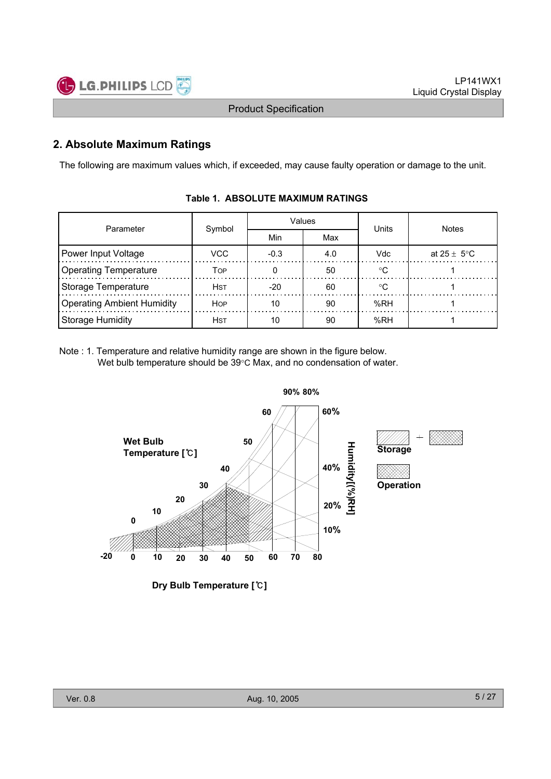

# **2. Absolute Maximum Ratings**

The following are maximum values which, if exceeded, may cause faulty operation or damage to the unit.

| Parameter                         |             |       | Values | Units  | <b>Notes</b>            |  |  |
|-----------------------------------|-------------|-------|--------|--------|-------------------------|--|--|
|                                   | Symbol      | Min   | Max    |        |                         |  |  |
| Power Input Voltage               | VCC         |       | 4.0    | Vdc    | at $25 \pm 5^{\circ}$ C |  |  |
| <b>Operating Temperature</b>      | TOP         |       | 50     | $\sim$ |                         |  |  |
| <b>Storage Temperature</b>        | <b>H</b> st | $-20$ | 60     | ∘∩     |                         |  |  |
| <b>Operating Ambient Humidity</b> | <b>HOP</b>  | 10    | 90     | %RH    |                         |  |  |
| <b>Storage Humidity</b>           | <b>H</b> st | 10    | 90     | %RH    |                         |  |  |

### **Table 1. ABSOLUTE MAXIMUM RATINGS**

Note : 1. Temperature and relative humidity range are shown in the figure below. Wet bulb temperature should be  $39^{\circ}$ C Max, and no condensation of water.



**Dry Bulb Temperature []**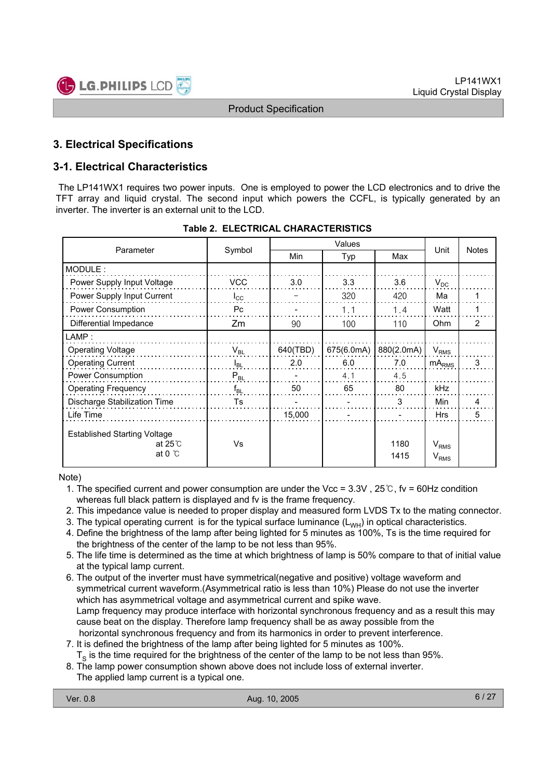

# **3. Electrical Specifications**

# **3-1. Electrical Characteristics**

The LP141WX1 requires two power inputs. One is employed to power the LCD electronics and to drive the TFT array and liquid crystal. The second input which powers the CCFL, is typically generated by an inverter. The inverter is an external unit to the LCD.

| Parameter                                                                  | Symbol         | Min      | Typ        | Max          | Unit                                 | <b>Notes</b> |
|----------------------------------------------------------------------------|----------------|----------|------------|--------------|--------------------------------------|--------------|
| MODULE:                                                                    |                |          |            |              |                                      |              |
| Power Supply Input Voltage                                                 | <b>VCC</b>     | 3.0      | 3.3        | 3.6          | $V_{DC}$                             |              |
| Power Supply Input Current                                                 | $I_{\rm CC}$   |          | 320        | 420          | Ma                                   |              |
| Power Consumption                                                          | P <sub>C</sub> |          | 1.1        | 1.4          | Watt                                 |              |
| Differential Impedance                                                     | Zm             | 90       | 100        | 110          | <b>Ohm</b>                           | 2            |
| $\mathsf{LAMP}$ :                                                          |                |          |            |              |                                      |              |
| <b>Operating Voltage</b>                                                   | $V_{BL}$       | 640(TBD) | 675(6.0mA) | 880(2.0mA)   | $V_{RMS}$                            |              |
| <b>Operating Current</b>                                                   | $I_{BL}$       | 2.0      | 6.0        | 7.0          | $mA_{RMS}$                           | 3            |
| Power Consumption                                                          | $P_{BL}$       |          | 4.1        | 4.5          |                                      |              |
| <b>Operating Frequency</b>                                                 | $f_{BL}$       | 50       | 65         | 80           | kHz                                  |              |
| <b>Discharge Stabilization Time</b>                                        | Ts             |          |            | 3            | Min                                  | 4            |
| Life Time                                                                  |                | 15,000   |            |              | <b>Hrs</b>                           | 5            |
| <b>Established Starting Voltage</b><br>at $25^\circ$ C<br>at 0 $\degree$ C | Vs             |          |            | 1180<br>1415 | $V_{RMS}$<br><b>V</b> <sub>RMS</sub> |              |

### **Table 2. ELECTRICAL CHARACTERISTICS**

Note)

- 1. The specified current and power consumption are under the Vcc =  $3.3V$ ,  $25^\circ$ C, fv = 60Hz condition whereas full black pattern is displayed and fv is the frame frequency.
- 2. This impedance value is needed to proper display and measured form LVDS Tx to the mating connector.
- 3. The typical operating current is for the typical surface luminance  $(L_{WH})$  in optical characteristics.
- 4. Define the brightness of the lamp after being lighted for 5 minutes as 100%, Ts is the time required for the brightness of the center of the lamp to be not less than 95%.
- 5. The life time is determined as the time at which brightness of lamp is 50% compare to that of initial value at the typical lamp current.
- 6. The output of the inverter must have symmetrical(negative and positive) voltage waveform and symmetrical current waveform.(Asymmetrical ratio is less than 10%) Please do not use the inverter which has asymmetrical voltage and asymmetrical current and spike wave. Lamp frequency may produce interface with horizontal synchronous frequency and as a result this may cause beat on the display. Therefore lamp frequency shall be as away possible from the horizontal synchronous frequency and from its harmonics in order to prevent interference.
- 7. It is defined the brightness of the lamp after being lighted for 5 minutes as 100%.
- $T<sub>s</sub>$  is the time required for the brightness of the center of the lamp to be not less than 95%.
- 8. The lamp power consumption shown above does not include loss of external inverter.
- The applied lamp current is a typical one.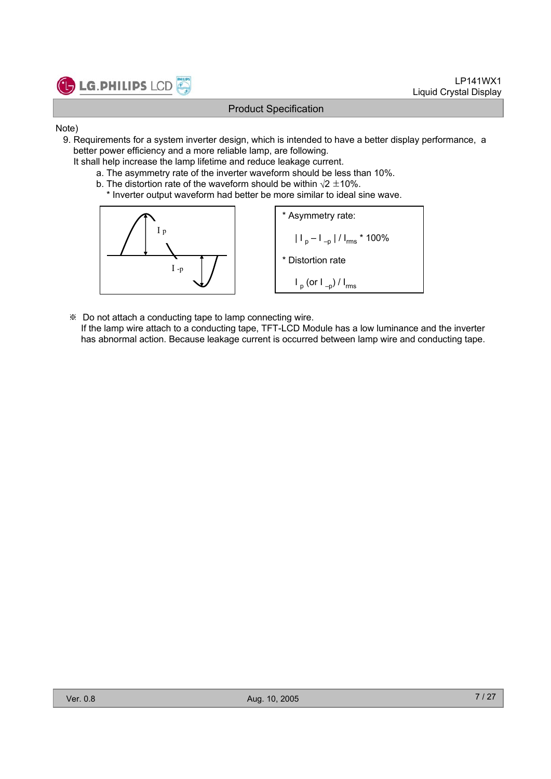

- Note)
	- 9. Requirements for a system inverter design, which is intended to have a better display performance, a better power efficiency and a more reliable lamp, are following.
		- It shall help increase the lamp lifetime and reduce leakage current.
			- a. The asymmetry rate of the inverter waveform should be less than 10%.
			- b. The distortion rate of the waveform should be within  $\sqrt{2} \pm 10\%$ .
				- \* Inverter output waveform had better be more similar to ideal sine wave.



- Do not attach a conducting tape to lamp connecting wire.
- If the lamp wire attach to a conducting tape, TFT-LCD Module has a low luminance and the inverter has abnormal action. Because leakage current is occurred between lamp wire and conducting tape.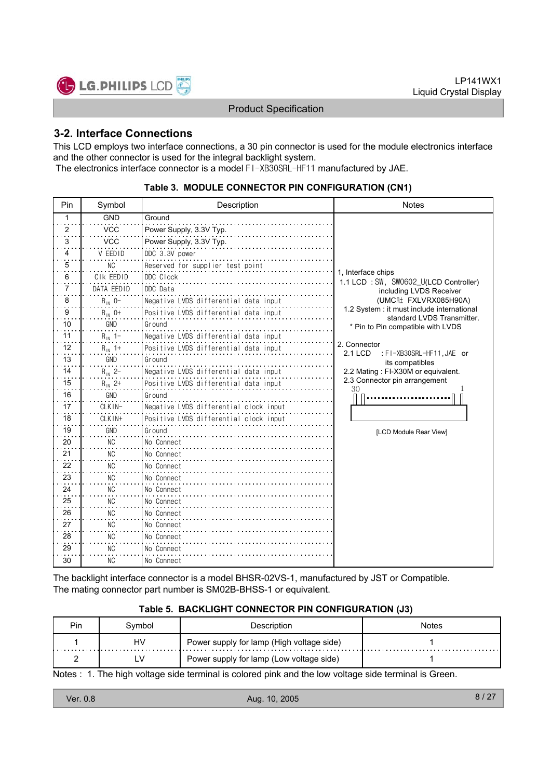

### **3-2. Interface Connections**

This LCD employs two interface connections, a 30 pin connector is used for the module electronics interface and the other connector is used for the integral backlight system. The electronics interface connector is a model FI-XB30SRL-HF11 manufactured by JAE.

| Pin            | Symbol      | Description                            | <b>Notes</b>                                                            |
|----------------|-------------|----------------------------------------|-------------------------------------------------------------------------|
| 1              | <b>GND</b>  | Ground                                 |                                                                         |
| $\overline{2}$ | <b>VCC</b>  | Power Supply, 3.3V Typ.                |                                                                         |
| 3              | <b>VCC</b>  | Power Supply, 3.3V Typ.                |                                                                         |
| 4              | V EEDID     | DDC 3.3V power                         |                                                                         |
| 5              | <b>NC</b>   | Reserved for supplier test point       |                                                                         |
| 6              | CIK EEDID   | DDC Clock                              | 1, Interface chips<br>1.1 LCD: SW, SW0602_U(LCD Controller)             |
| 7              | DATA EEDID  | DDC Data                               | including LVDS Receiver                                                 |
| 8              | $R_{1N}$ 0- | Negative LVDS differential data input  | (UMC社 FXLVRX085H90A)                                                    |
| 9              | $R_{1N}$ 0+ | Positive LVDS differential data input  | 1.2 System: it must include international<br>standard LVDS Transmitter. |
| 10             | <b>GND</b>  | Ground                                 | * Pin to Pin compatible with LVDS                                       |
| 11             | $R_{1N}$ 1- | Negative LVDS differential data input  |                                                                         |
| 12             | $R_{1N}$ 1+ | Positive LVDS differential data input  | 2. Connector<br>2.1 LCD<br>: FI-XB30SRL-HF11, JAE or                    |
| 13             | GND         | Ground                                 | its compatibles                                                         |
| 14             | $R_{1N}$ 2- | Negative LVDS differential data input  | 2.2 Mating: FI-X30M or equivalent.                                      |
| 15             | $R_{1N}$ 2+ | Positive LVDS differential data input  | 2.3 Connector pin arrangement<br>30                                     |
| 16             | GND         | Ground                                 |                                                                         |
| 17             | CLKIN-      | Negative LVDS differential clock input |                                                                         |
| 18             | CLKIN+      | Positive LVDS differential clock input |                                                                         |
| 19             | GND         | Ground                                 | [LCD Module Rear View]                                                  |
| 20             | <b>NC</b>   | No Connect                             |                                                                         |
| 21             | <b>NC</b>   | No Connect                             |                                                                         |
| 22             | NC.         | No Connect                             |                                                                         |
| 23             | <b>NC</b>   | No Connect                             |                                                                         |
| 24             | NC.         | No Connect                             |                                                                         |
| 25             | <b>NC</b>   | No Connect                             |                                                                         |
| 26             | NC.         | No Connect                             |                                                                         |
| 27             | <b>NC</b>   | No Connect                             |                                                                         |
| 28             | <b>NC</b>   | No Connect                             |                                                                         |
| 29             | <b>NC</b>   | No Connect                             |                                                                         |
| 30             | <b>NC</b>   | No Connect                             |                                                                         |

#### **Table 3. MODULE CONNECTOR PIN CONFIGURATION (CN1)**

The backlight interface connector is a model BHSR-02VS-1, manufactured by JST or Compatible. The mating connector part number is SM02B-BHSS-1 or equivalent.

#### **Table 5. BACKLIGHT CONNECTOR PIN CONFIGURATION (J3)**

| <b>Pin</b> | Svmbol | Description                               | Notes |
|------------|--------|-------------------------------------------|-------|
|            | HV     | Power supply for lamp (High voltage side) |       |
|            | LV     | Power supply for lamp (Low voltage side)  |       |

Notes : 1. The high voltage side terminal is colored pink and the low voltage side terminal is Green.

| Ver. 0.8 | Aug. 10, 2005 | 8/27 |
|----------|---------------|------|
|----------|---------------|------|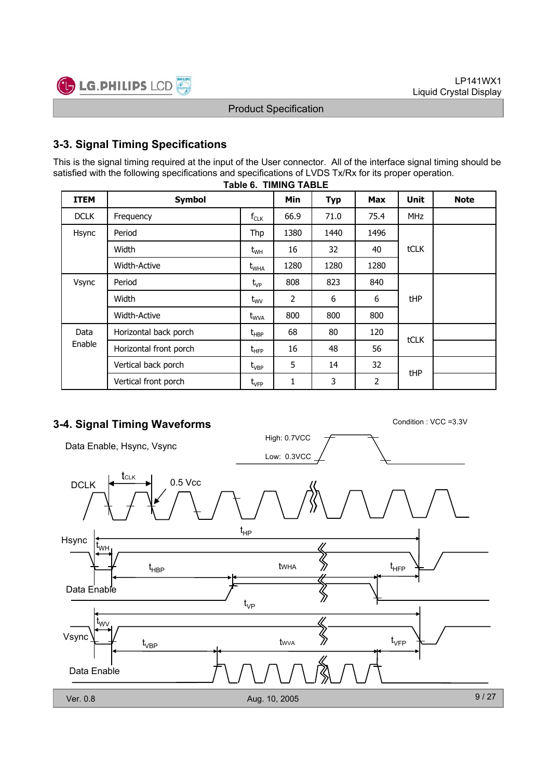

# **3-3. Signal Timing Specifications**

**Table 6. TIMING TABLE** This is the signal timing required at the input of the User connector. All of the interface signal timing should be satisfied with the following specifications and specifications of LVDS Tx/Rx for its proper operation.

| <b>ITEM</b>         | <b>Symbol</b>          |                                  | <b>Min</b> | <b>Typ</b> | <b>Max</b> | <b>Unit</b> | <b>Note</b> |
|---------------------|------------------------|----------------------------------|------------|------------|------------|-------------|-------------|
| <b>DCLK</b>         | Frequency              | $f_{CLK}$                        | 66.9       | 71.0       | 75.4       | <b>MHz</b>  |             |
| Hsync               | Period                 | Thp                              | 1380       | 1440       | 1496       |             |             |
|                     | Width                  | $t_{WH}$                         | 16         | 32         | 40         | <b>tCLK</b> |             |
| <b>Width-Active</b> |                        | $t_{WHA}$                        | 1280       | 1280       | 1280       |             |             |
| Vsync               | Period                 | $t_{VP}$                         | 808        | 823        | 840        |             |             |
|                     | Width                  |                                  | 2          | 6          | 6          | tHP         |             |
|                     | <b>Width-Active</b>    | $t_{\text{WVA}}$                 | 800        | 800        | 800        |             |             |
| Data                | Horizontal back porch  | $t_{\sf HBP}$                    | 68         | 80         | 120        |             |             |
| Enable              | Horizontal front porch | $t_{\scriptscriptstyle \rm HFP}$ | 16         | 48         | 56         | tCLK        |             |
|                     | Vertical back porch    | $\rm t_{\rm VBP}$                | 5          | 14         | 32         |             |             |
|                     | Vertical front porch   | $t_{\rm VFP}$                    | 1          | 3          | 2          | tHP         |             |

# **3-4. Signal Timing Waveforms** Condition : VCC =3.3V

High: 0.7VCC Data Enable, Hsync, Vsync Low: 0.3VCC tCLK  $DCLK$   $\leftarrow$   $\leftarrow$  0.5 Vcc t HP Hsync t WH  $\mathfrak{t}_{\text{\tiny{HBP}}}$  twha  $\gg$  t tWHA HBP HFP Data Enable ℅ t VP t WV  $\left\langle\!\left\langle {}\right\rangle\!\right\rangle$ Vsync t VFP tWVA t VBP Data Enable 9 / 27 Ver. 0.8 Aug. 10, 2005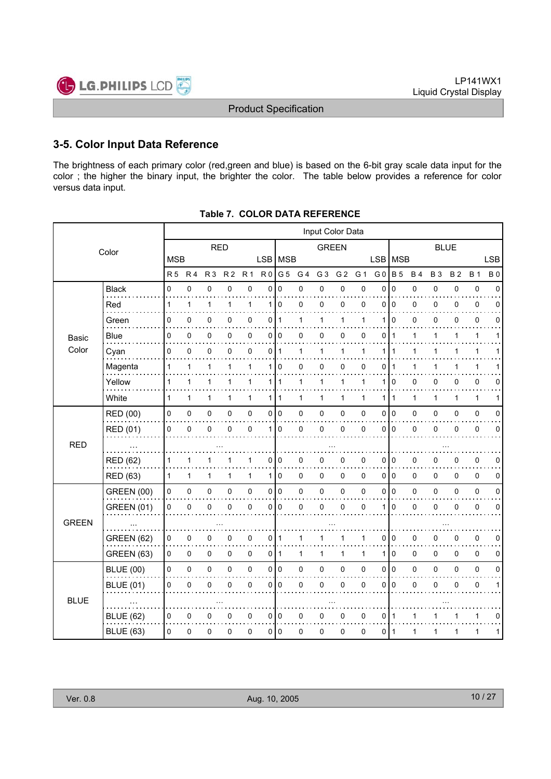

### **3-5. Color Input Data Reference**

The brightness of each primary color (red,green and blue) is based on the 6-bit gray scale data input for the color ; the higher the binary input, the brighter the color. The table below provides a reference for color versus data input.

|              | Input Color Data  |                |                |                |                |                |                |                |                |                |                |              |                |                |              |              |              |              |             |
|--------------|-------------------|----------------|----------------|----------------|----------------|----------------|----------------|----------------|----------------|----------------|----------------|--------------|----------------|----------------|--------------|--------------|--------------|--------------|-------------|
|              | Color             | <b>RED</b>     |                |                |                | <b>GREEN</b>   |                |                |                | <b>BLUE</b>    |                |              |                |                |              |              |              |              |             |
|              |                   | <b>MSB</b>     |                |                |                |                | LSB MSB        |                |                |                |                |              | <b>LSB</b>     | MSB            |              |              |              |              | <b>LSB</b>  |
|              |                   | R <sub>5</sub> | R <sub>4</sub> | R <sub>3</sub> | R <sub>2</sub> | R <sub>1</sub> | R <sub>0</sub> | G <sub>5</sub> | G <sub>4</sub> | G <sub>3</sub> | G <sub>2</sub> | G 1          | G <sub>0</sub> | <b>B</b> 5     | <b>B4</b>    | <b>B3</b>    | <b>B2</b>    | <b>B</b> 1   | <b>B0</b>   |
|              | <b>Black</b>      | $\mathbf 0$    | 0              | 0              | $\mathbf 0$    | $\mathbf 0$    | 0              | $\Omega$       | 0              | 0              | 0              | 0            | $\mathbf{0}$   | $\mathbf 0$    | 0            | 0            | 0            | $\pmb{0}$    | $\Omega$    |
|              | Red               | 1              | 1              | $\mathbf{1}$   | 1              | 1              | 1 <sup>1</sup> | $\mathbf 0$    | 0              | 0              | 0              | 0            | 0              | $\mathbf 0$    | 0            | 0            | 0            | 0            | $\Omega$    |
|              | Green             | 0              | 0              | 0              | 0              | 0              | 0              | 1              | 1              | 1              | 1              | 1            | 1              | $\Omega$       | 0            | 0            | 0            | $\pmb{0}$    | 0           |
| Basic        | <b>Blue</b>       | 0              | 0              | 0              | 0              | 0              | 0              | 0              | 0              | 0              | 0              | 0            | 0              | 1              | 1            | 1            | 1            | $\mathbf{1}$ | 1           |
| Color        | Cyan              | $\mathbf 0$    | 0              | $\mathbf 0$    | $\Omega$       | 0              | 0              | $\mathbf{1}$   | 1              | $\mathbf{1}$   | $\mathbf{1}$   | 1            | 1              | 1              | $\mathbf{1}$ | 1            | 1            | $\mathbf{1}$ |             |
|              | Magenta           | 1              | 1              | 1              | 1              | 1              | 1              | 0              | 0              | 0              | 0              | 0            | 0              |                |              | 1            |              | 1            |             |
|              | Yellow            | 1              | $\mathbf{1}$   | 1              | 1              | $\mathbf{1}$   | 1              | $\mathbf 1$    | 1              | 1              | 1              | 1            | 1              | 0              | 0            | 0            | 0            | 0            | 0           |
|              | White             | $\mathbf{1}$   | $\mathbf{1}$   | 1              | $\mathbf{1}$   | $\mathbf{1}$   | 1 <sup>1</sup> | $\mathbf{1}$   | 1              | $\mathbf{1}$   | 1              | $\mathbf{1}$ | 1              | $\overline{1}$ | $\mathbf{1}$ | $\mathbf{1}$ | $\mathbf{1}$ | $\mathbf{1}$ | 1           |
|              | RED (00)          | 0              | 0              | $\pmb{0}$      | 0              | 0              | $\overline{0}$ | $\overline{0}$ | 0              | $\pmb{0}$      | 0              | 0            | 0              | $\overline{0}$ | 0            | 0            | 0            | $\pmb{0}$    | $\mathbf 0$ |
|              | RED (01)          | 0              | $\mathbf 0$    | $\mathbf 0$    | $\Omega$       | $\mathbf 0$    | 1              | $\mathbf 0$    | 0              | $\pmb{0}$      | 0              | 0            | $\Omega$       | $\overline{0}$ | 0            | 0            | $\Omega$     | $\pmb{0}$    | $\mathbf 0$ |
| <b>RED</b>   |                   |                |                |                |                |                |                |                |                |                |                |              |                |                |              |              |              |              |             |
|              | <b>RED (62)</b>   | 1              | 1              | 1              |                | 1              | 0              | 0              | 0              | 0              | 0              | 0            | 0              | $\overline{0}$ | 0            | 0            | 0            | 0            | 0           |
|              | RED (63)          | 1              | $\mathbf{1}$   | $\mathbf{1}$   | 1              | $\mathbf{1}$   | 1 <sup>1</sup> | $\mathbf 0$    | 0              | $\mathbf 0$    | 0              | $\mathbf 0$  | $\Omega$       | <b>0</b>       | 0            | 0            | 0            | 0            | 0           |
|              | <b>GREEN (00)</b> | 0              | 0              | $\pmb{0}$      | 0              | 0              | $\overline{0}$ | $\overline{0}$ | 0              | $\pmb{0}$      | $\pmb{0}$      | 0            | 0              | $\overline{0}$ | 0            | 0            | 0            | $\pmb{0}$    | $\pmb{0}$   |
|              | <b>GREEN (01)</b> | 0              | $\pmb{0}$      | 0              | 0              | 0              | 0              | $\mathbf 0$    | 0              | $\pmb{0}$      | 0              | $\pmb{0}$    |                | $\mathbf 0$    | 0            | 0            | 0            | $\pmb{0}$    | 0           |
| <b>GREEN</b> |                   |                |                |                |                |                |                |                |                |                |                |              |                |                |              |              |              |              |             |
|              | <b>GREEN (62)</b> | 0              | 0              | 0              | 0              | 0              | 0              | $\mathbf 1$    | 1              | 1              | 1              | 1            | 0              | $\overline{0}$ | 0            | 0            | 0            | $\pmb{0}$    | 0           |
|              | GREEN (63)        | 0              | 0              | $\mathbf 0$    | 0              | 0              | 0              | $\vert$ 1      | 1              | $\mathbf{1}$   | 1              | $\mathbf{1}$ | 1              | $\mathbf 0$    | 0            | 0            | 0            | 0            | 0           |
|              | <b>BLUE (00)</b>  | $\mathsf 0$    | 0              | $\mathsf 0$    | $\mathbf 0$    | 0              | $\overline{0}$ | $\overline{0}$ | 0              | $\mathbf 0$    | $\pmb{0}$      | 0            | 0              | $\overline{0}$ | 0            | 0            | 0            | $\pmb{0}$    | $\mathbf 0$ |
|              | <b>BLUE (01)</b>  | 0              | 0              | 0              | 0              | 0              | 0              | $\mathbf 0$    | 0              | 0              | 0              | 0            | 0              | $\mathbf 0$    | 0            | 0            | 0            | $\pmb{0}$    | 1           |
| <b>BLUE</b>  |                   |                |                |                |                |                |                |                |                |                |                |              |                |                |              |              |              |              |             |
|              | <b>BLUE (62)</b>  | 0              | 0              | 0              | 0              | 0              | $\overline{0}$ | 0              | 0              | 0              | 0              | 0            | 0              | $\overline{1}$ | 1            | 1            |              | $\mathbf{1}$ | 0           |
|              | <b>BLUE (63)</b>  | 0              | 0              | $\mathbf 0$    | 0              | 0              | 0 l            | $\overline{0}$ | 0              | 0              | 0              | 0            | 0              | -1             | 1            | 1            | 1            | $\mathbf{1}$ | 1           |
|              |                   |                |                |                |                |                |                |                |                |                |                |              |                |                |              |              |              |              |             |

**Table 7. COLOR DATA REFERENCE**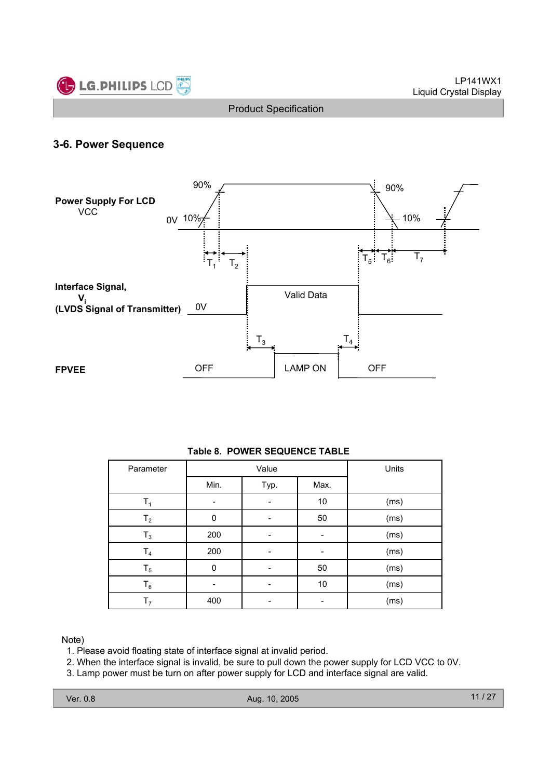

### **3-6. Power Sequence**



### **Table 8. POWER SEQUENCE TABLE**

| Parameter      |      | Value |      | Units |
|----------------|------|-------|------|-------|
|                | Min. | Typ.  | Max. |       |
| Τ,             |      |       | 10   | (ms)  |
| T <sub>2</sub> | 0    |       | 50   | (ms)  |
| $T_3$          | 200  |       |      | (ms)  |
| T <sub>4</sub> | 200  |       |      | (ms)  |
| $T_5$          | 0    |       | 50   | (ms)  |
| $\mathsf{T}_6$ |      |       | 10   | (ms)  |
| T <sub>7</sub> | 400  |       |      | (ms)  |

Note)

1. Please avoid floating state of interface signal at invalid period.

2. When the interface signal is invalid, be sure to pull down the power supply for LCD VCC to 0V.

3. Lamp power must be turn on after power supply for LCD and interface signal are valid.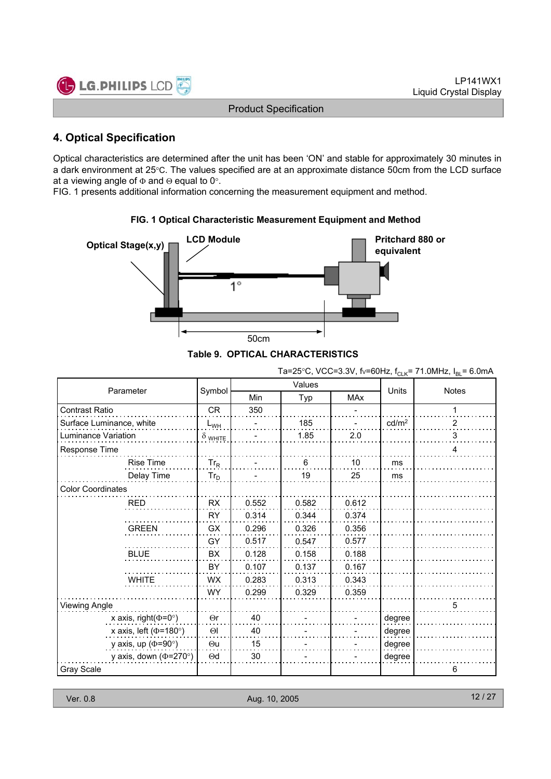

# **4. Optical Specification**

Optical characteristics are determined after the unit has been 'ON' and stable for approximately 30 minutes in a dark environment at 25°C. The values specified are at an approximate distance 50cm from the LCD surface at a viewing angle of  $\Phi$  and  $\Theta$  equal to 0°.

FIG. 1 presents additional information concerning the measurement equipment and method.



### **FIG. 1 Optical Characteristic Measurement Equipment and Method**

|  | Table 9. OPTICAL CHARACTERISTICS |
|--|----------------------------------|
|--|----------------------------------|

Ta=25°C, VCC=3.3V, fv=60Hz,  $f_{CLK}$ = 71.0MHz,  $I_{BL}$ = 6.0mA

| Parameter                    |                |       | Values |            | Units             | <b>Notes</b> |  |
|------------------------------|----------------|-------|--------|------------|-------------------|--------------|--|
|                              | Symbol         | Min   | Typ    | <b>MAx</b> |                   |              |  |
| <b>Contrast Ratio</b>        | <b>CR</b>      | 350   |        |            |                   |              |  |
| Surface Luminance, white     | $L_{WH}$       |       | 185    |            | cd/m <sup>2</sup> | 2            |  |
| <b>Luminance Variation</b>   | $\delta$ white |       | 1.85   | 2.0        |                   | 3            |  |
| Response Time                |                |       |        |            |                   | 4            |  |
| <b>Rise Time</b>             | $Tr_R$         |       | 6      | 10         | ms                |              |  |
| Delay Time                   | $Tr_D$         |       | 19     | 25         | ms                |              |  |
| <b>Color Coordinates</b>     |                |       |        |            |                   |              |  |
| <b>RED</b>                   | <b>RX</b>      | 0.552 | 0.582  | 0.612      |                   |              |  |
|                              | <b>RY</b>      | 0.314 | 0.344  | 0.374      |                   |              |  |
| <b>GREEN</b>                 | GX             | 0.296 | 0.326  | 0.356      |                   |              |  |
|                              | GY             | 0.517 | 0.547  | 0.577      |                   |              |  |
| <b>BLUE</b>                  | <b>BX</b>      | 0.128 | 0.158  | 0.188      |                   |              |  |
|                              | BY             | 0.107 | 0.137  | 0.167      |                   |              |  |
| <b>WHITE</b>                 | <b>WX</b>      | 0.283 | 0.313  | 0.343      |                   |              |  |
|                              | <b>WY</b>      | 0.299 | 0.329  | 0.359      |                   |              |  |
| Viewing Angle                |                |       |        |            |                   | 5            |  |
| x axis, right( $\Phi$ =0°)   | $\Theta$ r     | 40    |        |            | degree            |              |  |
| x axis, left ( $\Phi$ =180°) | $\Theta$       | 40    |        |            | degree            |              |  |
| y axis, up ( $\Phi$ =90°)    | $\Theta$ u     | 15    |        |            | degree            |              |  |
| y axis, down ( $\Phi$ =270°) | $\Theta$ d     | 30    |        |            | degree            |              |  |
| Gray Scale                   |                |       |        |            |                   | 6            |  |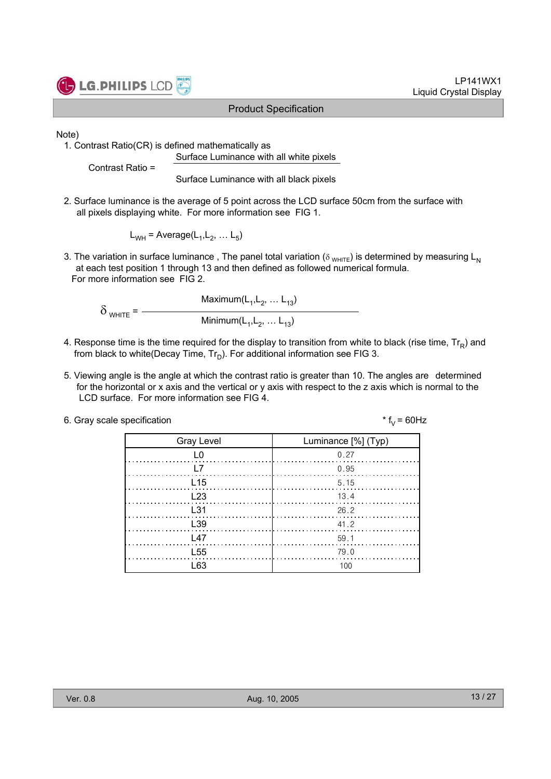

LP141WX1 Liquid Crystal Display

Note)

1. Contrast Ratio(CR) is defined mathematically as Surface Luminance with all white pixels

Contrast Ratio =

Surface Luminance with all black pixels

2. Surface luminance is the average of 5 point across the LCD surface 50cm from the surface with all pixels displaying white. For more information see FIG 1.

 $L_{WH}$  = Average( $L_1, L_2, \ldots L_5$ )

3. The variation in surface luminance, The panel total variation ( $\delta_{WHTE}$ ) is determined by measuring L<sub>N</sub> at each test position 1 through 13 and then defined as followed numerical formula. For more information see FIG 2.

Maximum $(L_1, L_2, ... L_{13})$  $\delta$  white =  $-$ Minimum $(L_1, L_2, ... L_{13})$ 

- 4. Response time is the time required for the display to transition from white to black (rise time,  $Tr_R$ ) and from black to white(Decay Time,  $Tr_D$ ). For additional information see FIG 3.
- 5. Viewing angle is the angle at which the contrast ratio is greater than 10. The angles are determined for the horizontal or x axis and the vertical or y axis with respect to the z axis which is normal to the LCD surface. For more information see FIG 4.

| 6. Gray scale specification | * $f_v = 60$ Hz |
|-----------------------------|-----------------|
|-----------------------------|-----------------|

| <b>Gray Level</b> | Luminance [%] (Typ)                                                          |
|-------------------|------------------------------------------------------------------------------|
| L0                | 0.27                                                                         |
| l 7               | 0.95                                                                         |
| L <sub>15</sub>   | 5.15                                                                         |
| L23               | $\begin{array}{c} \begin{array}{c} \end{array} \begin{array}{c} \end{array}$ |
| $\pm$ 31          | 26.2                                                                         |
| L <sub>39</sub>   | 41.2                                                                         |
| 147               | 59.1                                                                         |
| L <sub>55</sub>   | 79.0                                                                         |
| l 63              | 100                                                                          |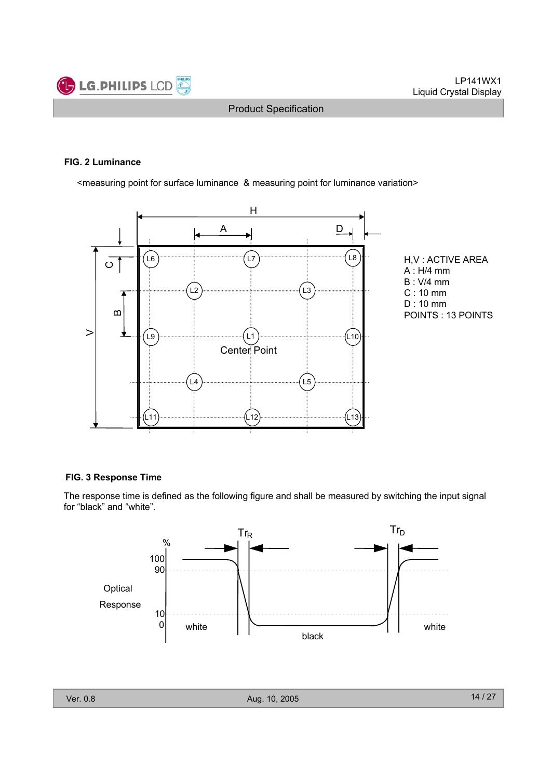

#### **FIG. 2 Luminance**

<measuring point for surface luminance & measuring point for luminance variation>





#### **FIG. 3 Response Time**

The response time is defined as the following figure and shall be measured by switching the input signal for "black" and "white".

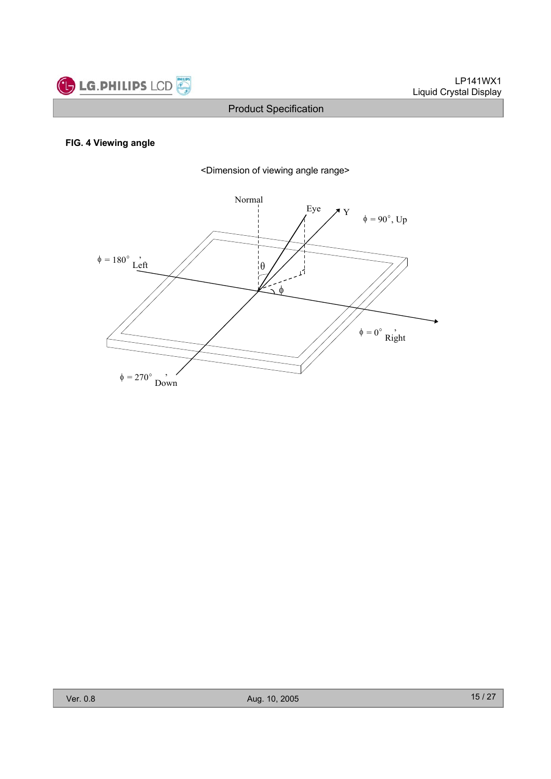

# **FIG. 4 Viewing angle**



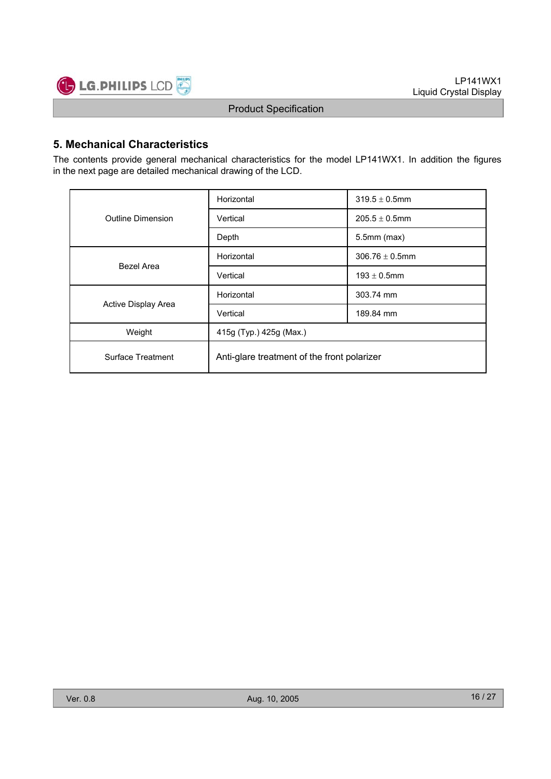

# **5. Mechanical Characteristics**

The contents provide general mechanical characteristics for the model LP141WX1. In addition the figures in the next page are detailed mechanical drawing of the LCD.

|                     | Horizontal                                  | $319.5 \pm 0.5$ mm  |  |  |  |
|---------------------|---------------------------------------------|---------------------|--|--|--|
| Outline Dimension   | Vertical                                    | $205.5 \pm 0.5$ mm  |  |  |  |
|                     | Depth                                       | $5.5$ mm $(max)$    |  |  |  |
| Bezel Area          | Horizontal                                  | $306.76 \pm 0.5$ mm |  |  |  |
|                     | Vertical                                    | $193 \pm 0.5$ mm    |  |  |  |
|                     | Horizontal                                  | 303.74 mm           |  |  |  |
| Active Display Area | Vertical                                    | 189.84 mm           |  |  |  |
| Weight              | 415g (Typ.) 425g (Max.)                     |                     |  |  |  |
| Surface Treatment   | Anti-glare treatment of the front polarizer |                     |  |  |  |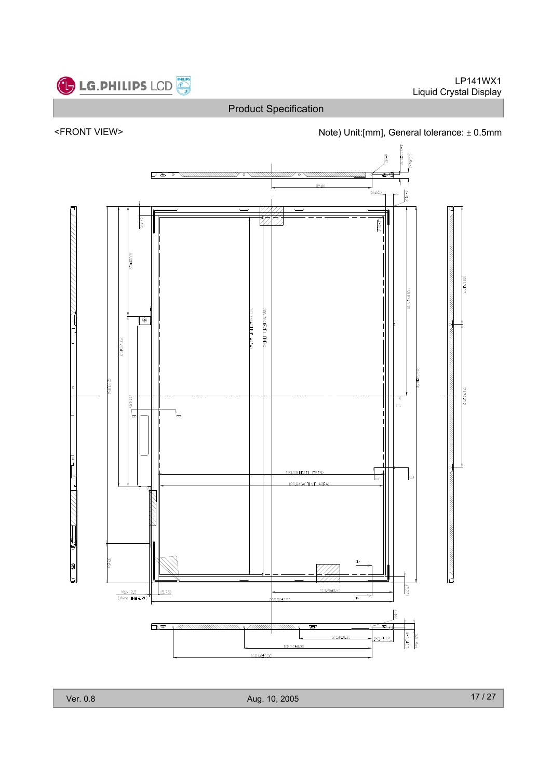







Ver. 0.8 Aug. 10, 2005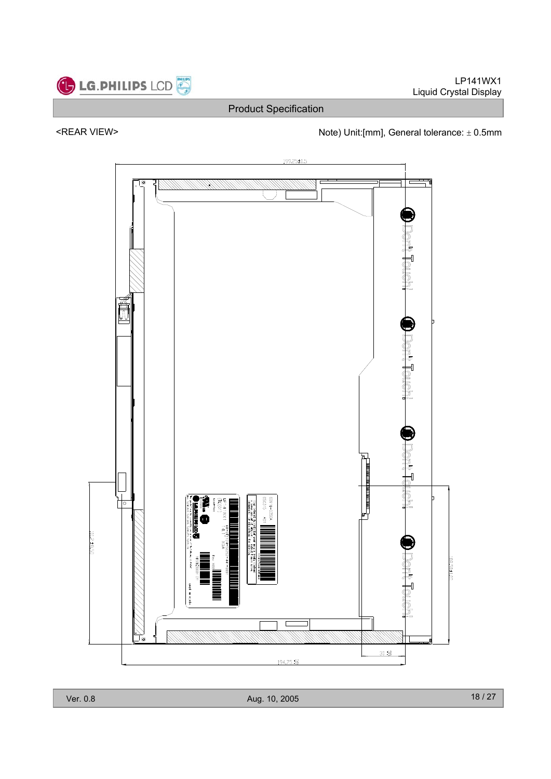



# <REAR VIEW> <next and the Unit:[mm], General tolerance:  $\pm$  0.5mm

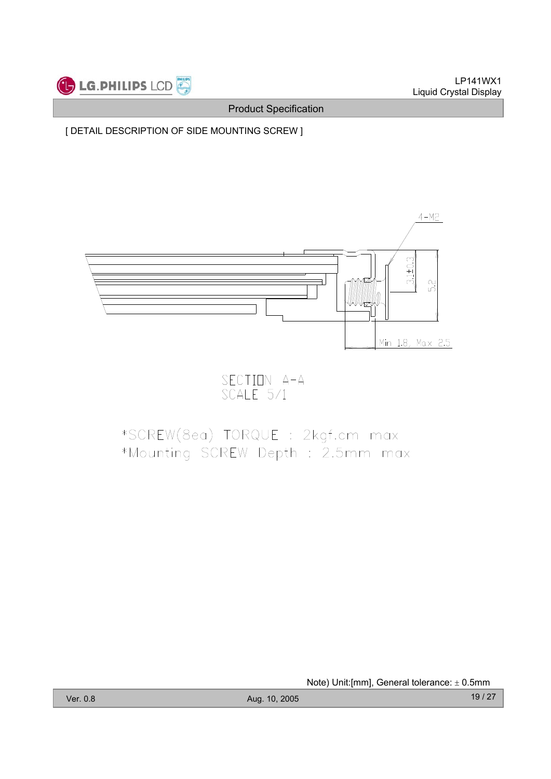

[ DETAIL DESCRIPTION OF SIDE MOUNTING SCREW ]



SECTION A-A<br>SCALE 5/1

# \*SCREW(8ea) TORQUE : 2kgf.cm max \*Mounting SCREW Depth : 2.5mm max

Note) Unit: [mm], General tolerance:  $\pm$  0.5mm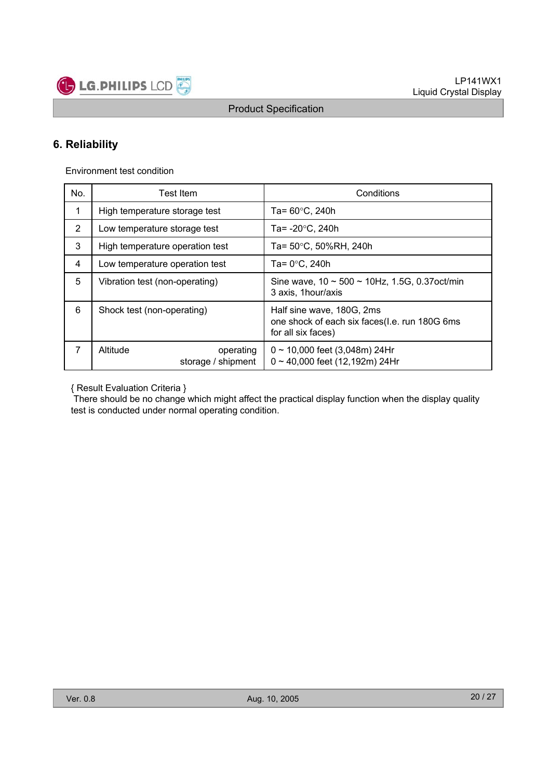

# **6. Reliability**

Environment test condition

| No.           | Test Item                                   | Conditions                                                                                       |  |  |
|---------------|---------------------------------------------|--------------------------------------------------------------------------------------------------|--|--|
| $\mathbf 1$   | High temperature storage test               | Ta= $60^{\circ}$ C, 240h                                                                         |  |  |
| $\mathcal{P}$ | Low temperature storage test                | Ta= $-20^{\circ}$ C, 240h                                                                        |  |  |
| 3             | High temperature operation test             | Ta= 50°C, 50%RH, 240h                                                                            |  |  |
| 4             | Low temperature operation test              | Ta= $0^{\circ}$ C, 240h                                                                          |  |  |
| 5             | Vibration test (non-operating)              | Sine wave, $10 \sim 500 \sim 10$ Hz, 1.5G, 0.37 oct/min<br>3 axis, 1 hour/axis                   |  |  |
| 6             | Shock test (non-operating)                  | Half sine wave, 180G, 2ms<br>one shock of each six faces(I.e. run 180G 6ms<br>for all six faces) |  |  |
| 7             | Altitude<br>operating<br>storage / shipment | $0 \sim 10,000$ feet (3,048m) 24Hr<br>$0 \sim 40,000$ feet (12,192m) 24Hr                        |  |  |

{ Result Evaluation Criteria }

There should be no change which might affect the practical display function when the display quality test is conducted under normal operating condition.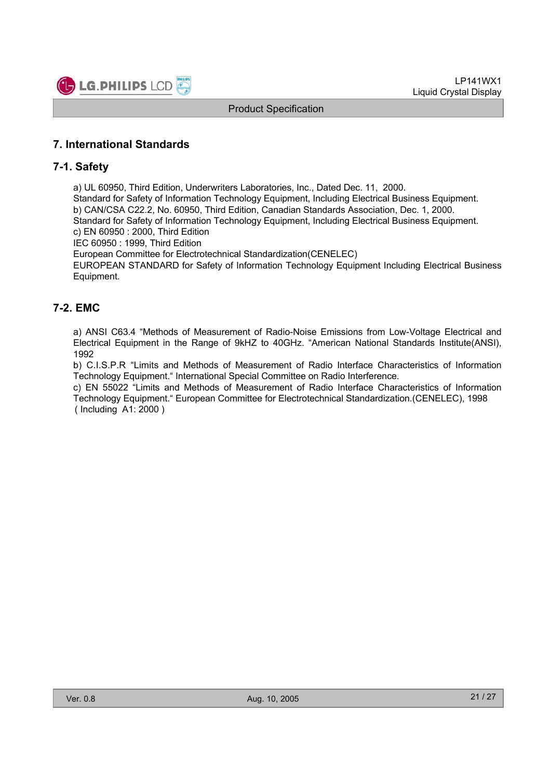

### **7. International Standards**

### **7-1. Safety**

a) UL 60950, Third Edition, Underwriters Laboratories, Inc., Dated Dec. 11, 2000.

Standard for Safety of Information Technology Equipment, Including Electrical Business Equipment. b) CAN/CSA C22.2, No. 60950, Third Edition, Canadian Standards Association, Dec. 1, 2000. Standard for Safety of Information Technology Equipment, Including Electrical Business Equipment.

c) EN 60950 : 2000, Third Edition

IEC 60950 : 1999, Third Edition

European Committee for Electrotechnical Standardization(CENELEC)

EUROPEAN STANDARD for Safety of Information Technology Equipment Including Electrical Business Equipment.

# **7-2. EMC**

a) ANSI C63.4 "Methods of Measurement of Radio-Noise Emissions from Low-Voltage Electrical and Electrical Equipment in the Range of 9kHZ to 40GHz. "American National Standards Institute(ANSI), 1992

b) C.I.S.P.R "Limits and Methods of Measurement of Radio Interface Characteristics of Information Technology Equipment." International Special Committee on Radio Interference.

c) EN 55022 "Limits and Methods of Measurement of Radio Interface Characteristics of Information Technology Equipment." European Committee for Electrotechnical Standardization.(CENELEC), 1998 ( Including A1: 2000 )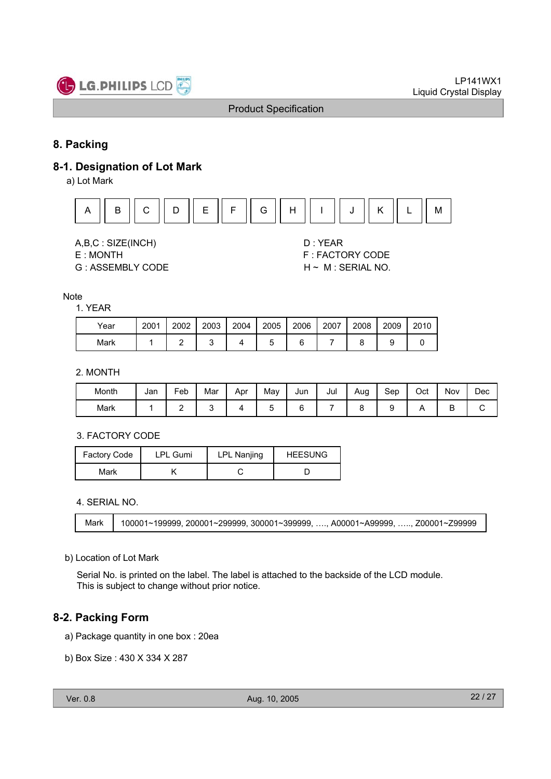

# **8. Packing**

### **8-1. Designation of Lot Mark**

a) Lot Mark



A,B,C : SIZE(INCH) D : YEAR

G : ASSEMBLY CODE H ~ M : SERIAL NO.

E : MONTH F : FACTORY CODE

#### **Note**

#### 1. YEAR

| Year | 2001 | 2002 | 2003 | 2004 | 2005 | 2006 | 2007 | 2008 | 2009 | 2010 |
|------|------|------|------|------|------|------|------|------|------|------|
| Mark |      |      |      |      |      |      |      |      |      |      |

### 2. MONTH

| Month | Jan | -<br>Feb | Mar | Apr | May | Jun | Jul | Aug | Sep | Oct | Nov    | Dec |
|-------|-----|----------|-----|-----|-----|-----|-----|-----|-----|-----|--------|-----|
| Mark  |     | -        |     |     | ∼   |     |     |     | ັ   |     | -<br>◡ | ັ   |

### 3. FACTORY CODE

| <b>Factory Code</b> | <b>LPL Gumi</b> | <b>LPL Nanjing</b> | <b>HEESUNG</b> |  |  |
|---------------------|-----------------|--------------------|----------------|--|--|
| Mark                |                 |                    |                |  |  |

4. SERIAL NO.

Mark 100001~199999, 200001~299999, 300001~399999, …., A00001~A99999, ….., Z00001~Z99999

### b) Location of Lot Mark

Serial No. is printed on the label. The label is attached to the backside of the LCD module. This is subject to change without prior notice.

### **8-2. Packing Form**

- a) Package quantity in one box : 20ea
- b) Box Size : 430 X 334 X 287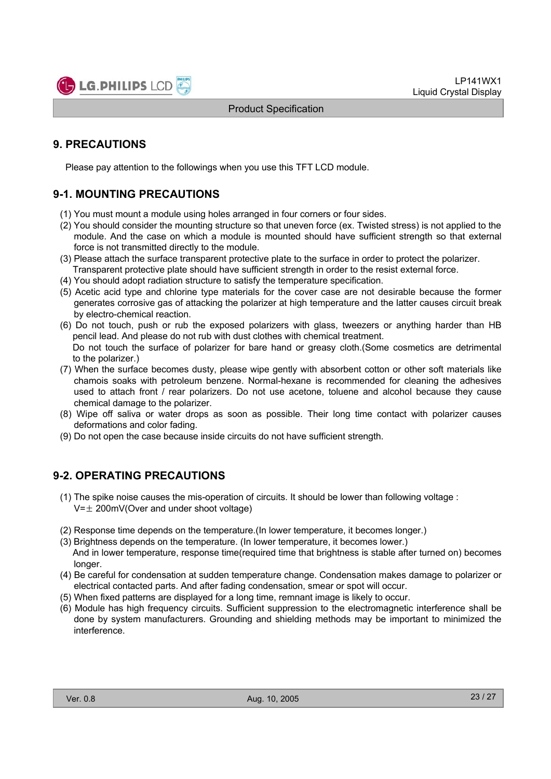

# **9. PRECAUTIONS**

Please pay attention to the followings when you use this TFT LCD module.

# **9-1. MOUNTING PRECAUTIONS**

- (1) You must mount a module using holes arranged in four corners or four sides.
- (2) You should consider the mounting structure so that uneven force (ex. Twisted stress) is not applied to the module. And the case on which a module is mounted should have sufficient strength so that external force is not transmitted directly to the module.
- (3) Please attach the surface transparent protective plate to the surface in order to protect the polarizer. Transparent protective plate should have sufficient strength in order to the resist external force.
- (4) You should adopt radiation structure to satisfy the temperature specification.
- (5) Acetic acid type and chlorine type materials for the cover case are not desirable because the former generates corrosive gas of attacking the polarizer at high temperature and the latter causes circuit break by electro-chemical reaction.
- (6) Do not touch, push or rub the exposed polarizers with glass, tweezers or anything harder than HB pencil lead. And please do not rub with dust clothes with chemical treatment. Do not touch the surface of polarizer for bare hand or greasy cloth.(Some cosmetics are detrimental
- to the polarizer.) (7) When the surface becomes dusty, please wipe gently with absorbent cotton or other soft materials like chamois soaks with petroleum benzene. Normal-hexane is recommended for cleaning the adhesives used to attach front / rear polarizers. Do not use acetone, toluene and alcohol because they cause
- chemical damage to the polarizer. (8) Wipe off saliva or water drops as soon as possible. Their long time contact with polarizer causes deformations and color fading.
- (9) Do not open the case because inside circuits do not have sufficient strength.

### **9-2. OPERATING PRECAUTIONS**

- (1) The spike noise causes the mis-operation of circuits. It should be lower than following voltage :  $V=\pm 200$ mV(Over and under shoot voltage)
- (2) Response time depends on the temperature.(In lower temperature, it becomes longer.)
- (3) Brightness depends on the temperature. (In lower temperature, it becomes lower.) And in lower temperature, response time(required time that brightness is stable after turned on) becomes longer.
- (4) Be careful for condensation at sudden temperature change. Condensation makes damage to polarizer or electrical contacted parts. And after fading condensation, smear or spot will occur.
- (5) When fixed patterns are displayed for a long time, remnant image is likely to occur.
- (6) Module has high frequency circuits. Sufficient suppression to the electromagnetic interference shall be done by system manufacturers. Grounding and shielding methods may be important to minimized the interference.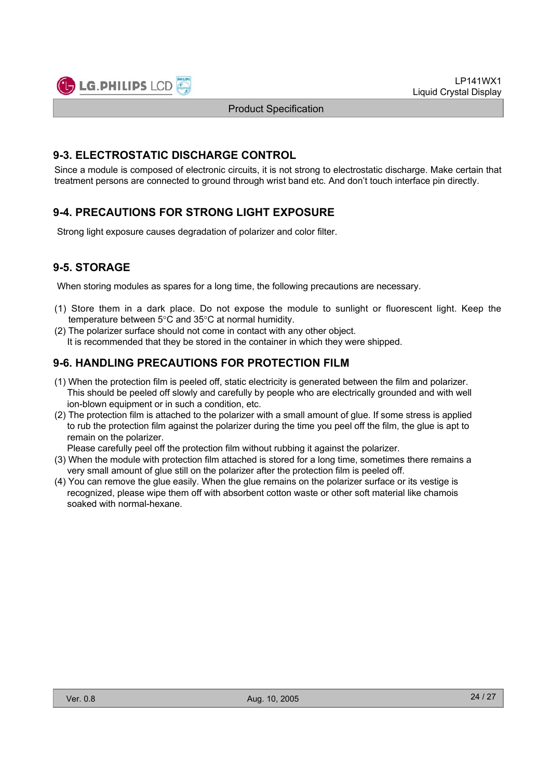

### **9-3. ELECTROSTATIC DISCHARGE CONTROL**

Since a module is composed of electronic circuits, it is not strong to electrostatic discharge. Make certain that treatment persons are connected to ground through wrist band etc. And don't touch interface pin directly.

# **9-4. PRECAUTIONS FOR STRONG LIGHT EXPOSURE**

Strong light exposure causes degradation of polarizer and color filter.

# **9-5. STORAGE**

When storing modules as spares for a long time, the following precautions are necessary.

- (1) Store them in a dark place. Do not expose the module to sunlight or fluorescent light. Keep the temperature between  $5^{\circ}$ C and  $35^{\circ}$ C at normal humidity.
- (2) The polarizer surface should not come in contact with any other object. It is recommended that they be stored in the container in which they were shipped.

# **9-6. HANDLING PRECAUTIONS FOR PROTECTION FILM**

- (1) When the protection film is peeled off, static electricity is generated between the film and polarizer. This should be peeled off slowly and carefully by people who are electrically grounded and with well ion-blown equipment or in such a condition, etc.
- (2) The protection film is attached to the polarizer with a small amount of glue. If some stress is applied to rub the protection film against the polarizer during the time you peel off the film, the glue is apt to remain on the polarizer.

Please carefully peel off the protection film without rubbing it against the polarizer.

- (3) When the module with protection film attached is stored for a long time, sometimes there remains a very small amount of glue still on the polarizer after the protection film is peeled off.
- (4) You can remove the glue easily. When the glue remains on the polarizer surface or its vestige is recognized, please wipe them off with absorbent cotton waste or other soft material like chamois soaked with normal-hexane.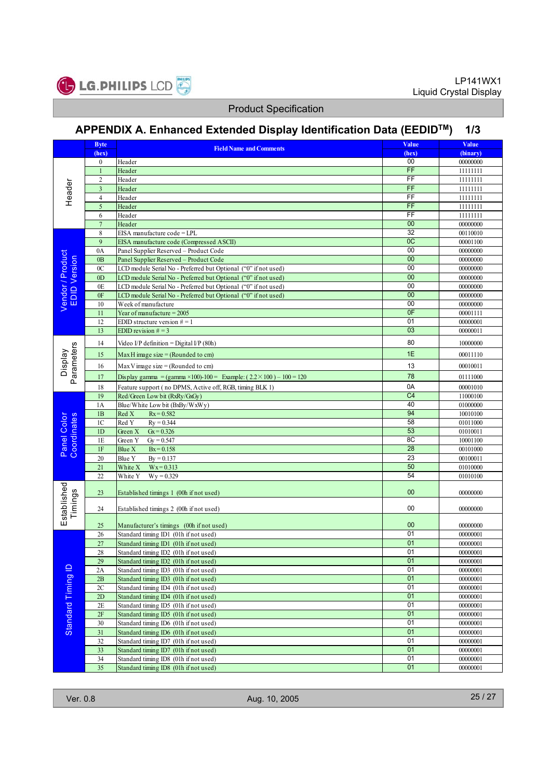

# **APPENDIX A. Enhanced Extended Display Identification Data (EEDIDTM) 1/3**

|                                                        | <b>Byte</b>      |                                                                            | Value           | Value    |
|--------------------------------------------------------|------------------|----------------------------------------------------------------------------|-----------------|----------|
|                                                        | (hex)            | <b>Field Name and Comments</b>                                             | (hex)           | (binary) |
|                                                        | $\boldsymbol{0}$ | Header                                                                     | 00              | 00000000 |
|                                                        | $\mathbf{1}$     |                                                                            | FF              |          |
|                                                        |                  | Header                                                                     |                 | 11111111 |
|                                                        | 2                | Header                                                                     | FF              | 11111111 |
| Header                                                 | $\overline{3}$   | Header                                                                     | FF              | 11111111 |
|                                                        | $\overline{4}$   | Header                                                                     | FF              | 11111111 |
|                                                        | 5                | Header                                                                     | FF              | 11111111 |
|                                                        | 6                | Header                                                                     | FF              | 11111111 |
|                                                        | $\overline{7}$   | Header                                                                     | 00              | 00000000 |
|                                                        | 8                | EISA manufacture code = LPL                                                | $\overline{32}$ | 00110010 |
|                                                        | 9                | EISA manufacture code (Compressed ASCII)                                   | OC              | 00001100 |
|                                                        | 0A               | Panel Supplier Reserved - Product Code                                     | 00              | 00000000 |
|                                                        | 0B               | Panel Supplier Reserved - Product Code                                     | 00              | 00000000 |
|                                                        |                  |                                                                            | 00              |          |
|                                                        | 0 <sup>C</sup>   | LCD module Serial No - Preferred but Optional ("0" if not used)            |                 | 00000000 |
|                                                        | 0 <sub>D</sub>   | LCD module Serial No - Preferred but Optional ("0" if not used)            | $\overline{00}$ | 00000000 |
| Vendor / Product<br>EDID Version<br><b>DID Version</b> | 0E               | LCD module Serial No - Preferred but Optional ("0" if not used)            | 00              | 00000000 |
|                                                        | 0F               | LCD module Serial No - Preferred but Optional ("0" if not used)            | 00              | 00000000 |
|                                                        | 10               | Week of manufacture                                                        | 00              | 00000000 |
|                                                        | 11               | Year of manufacture = $2005$                                               | 0 <sub>F</sub>  | 00001111 |
|                                                        | 12               | EDID structure version $# = 1$                                             | $\overline{01}$ | 00000001 |
|                                                        | 13               | EDID revision $# = 3$                                                      | 03              | 00000011 |
|                                                        |                  |                                                                            | 80              |          |
| Parameters<br>Display                                  | 14               | Video I/P definition = Digital I/P (80h)                                   |                 | 10000000 |
|                                                        | 15               | Max H image size = (Rounded to cm)                                         | 1E              | 00011110 |
|                                                        | 16               | Max V image size $=$ (Rounded to cm)                                       | 13              | 00010011 |
|                                                        | 17               | Display gamma = (gamma ×100)-100 = Example: $(2.2 \times 100) - 100 = 120$ | 78              | 01111000 |
|                                                        | 18               | Feature support (no DPMS, Active off, RGB, timing BLK 1)                   | 0A              | 00001010 |
|                                                        | 19               | Red/Green Low bit (RxRy/GxGy)                                              | C4              | 11000100 |
|                                                        | 1A               | Blue/White Low bit (BxBy/WxWy)                                             | 40              | 01000000 |
|                                                        | 1B               | Red X<br>$Rx = 0.582$                                                      | 94              | 10010100 |
|                                                        | 1 <sup>C</sup>   | Red Y<br>$Ry = 0.344$                                                      | 58              | 01011000 |
|                                                        | 1D               | Green X<br>$Gx = 0.326$                                                    | 53              | 01010011 |
| Panel Color<br>Coordinates                             |                  |                                                                            | 8C              |          |
|                                                        | 1E               | Green Y<br>$Gy = 0.547$                                                    | 28              | 10001100 |
|                                                        | 1F               | $Bx = 0.158$<br>Blue X                                                     |                 | 00101000 |
|                                                        | 20               | Blue Y<br>$By = 0.137$                                                     | 23              | 00100011 |
|                                                        | 21               | $Wx = 0.313$<br>White X                                                    | 50              | 01010000 |
|                                                        | 22               | $Wy = 0.329$<br>White Y                                                    | 54              | 01010100 |
| Established                                            | 23               | Established timings 1 (00h if not used)                                    | 00              | 00000000 |
| Timings                                                | 24               | Established timings 2 (00h if not used)                                    | 00              | 00000000 |
|                                                        | 25               | Manufacturer's timings (00h if not used)                                   | 00              | 00000000 |
|                                                        | 26               | Standard timing ID1 (01h if not used)                                      | 01              | 00000001 |
|                                                        | 27               | Standard timing ID1 (01h if not used)                                      | 01              | 00000001 |
|                                                        | 28               | Standard timing ID2 (01h if not used)                                      | 01              | 00000001 |
|                                                        | 29               | Standard timing ID2 (01h if not used)                                      | 01              | 00000001 |
|                                                        | 2A               | Standard timing ID3 (01h if not used)                                      | 01              | 00000001 |
|                                                        | 2B               | Standard timing ID3 (01h if not used)                                      | 01              | 00000001 |
|                                                        |                  |                                                                            | 01              |          |
|                                                        | $2\mathrm{C}$    | Standard timing ID4 (01h if not used)                                      |                 | 00000001 |
|                                                        | 2D               | Standard timing ID4 (01h if not used)                                      | 01              | 00000001 |
| Standard Timing ID                                     | 2E               | Standard timing ID5 (01h if not used)                                      | $\overline{01}$ | 00000001 |
|                                                        | 2F               | Standard timing ID5 (01h if not used)                                      | 01              | 00000001 |
|                                                        | 30               | Standard timing ID6 (01h if not used)                                      | 01              | 00000001 |
|                                                        | 31               | Standard timing ID6 (01h if not used)                                      | 01              | 00000001 |
|                                                        | 32               | Standard timing ID7 (01h if not used)                                      | 01              | 00000001 |
|                                                        | 33               | Standard timing ID7 (01h if not used)                                      | 01              | 00000001 |
|                                                        | 34               | Standard timing ID8 (01h if not used)                                      | 01              | 00000001 |
|                                                        | 35               | Standard timing ID8 (01h if not used)                                      | 01              | 00000001 |
|                                                        |                  |                                                                            |                 |          |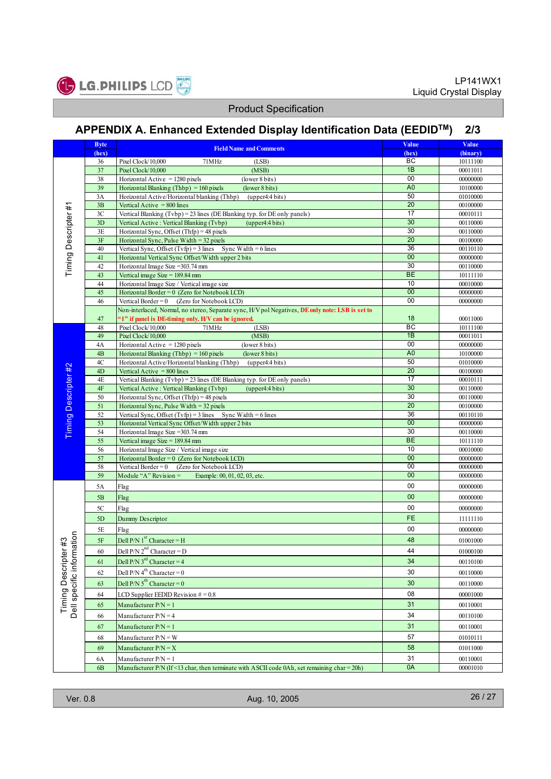

# **APPENDIX A. Enhanced Extended Display Identification Data (EEDIDTM) 2/3**

|                                                   | <b>Byte</b>   | <b>Field Name and Comments</b>                                                                                              | Value                | Value                |
|---------------------------------------------------|---------------|-----------------------------------------------------------------------------------------------------------------------------|----------------------|----------------------|
|                                                   | (hex)         |                                                                                                                             | (hex)                | (binary)             |
|                                                   | 36            | Pixel Clock/10,000<br>71MHz<br>(LSB)                                                                                        | ВC                   | 10111100             |
|                                                   | 37            | Pixel Clock/10,000<br>(MSB)                                                                                                 | 1B                   | 00011011             |
|                                                   | 38            | Horizontal Active $= 1280$ pixels<br>(lower 8 bits)                                                                         | 00<br>A <sub>0</sub> | 00000000             |
|                                                   | 39<br>3A      | Horizontal Blanking (Thbp) = $160$ pixels<br>(lower 8 bits)<br>Horizontal Active/Horizontal blanking (Thbp) (upper4:4 bits) | 50                   | 10100000             |
| Timing Descripter#1                               | 3B            | Vertical Active $= 800$ lines                                                                                               | 20                   | 01010000<br>00100000 |
|                                                   | 3C            | Vertical Blanking (Tvbp) = 23 lines (DE Blanking typ. for DE only panels)                                                   | 17                   | 00010111             |
|                                                   | 3D            | Vertical Active: Vertical Blanking (Tvbp)<br>(upper4:4 bits)                                                                | 30                   | 00110000             |
|                                                   | 3E            | Horizontal Sync, Offset (Thfp) = 48 pixels                                                                                  | 30                   | 00110000             |
|                                                   | 3F            | Horizontal Sync, Pulse Width = 32 pixels                                                                                    | $\overline{20}$      | 00100000             |
|                                                   | 40            | Vertical Sync, Offset $(Tvfp) = 3$ lines Sync Width = 6 lines                                                               | 36                   | 00110110             |
|                                                   | 41            | Horizontal Vertical Sync Offset/Width upper 2 bits                                                                          | $\overline{00}$      | 00000000             |
|                                                   | 42            | Horizontal Image Size = 303.74 mm                                                                                           | 30                   | 00110000             |
|                                                   | 43            | Vertical image Size = $189.84$ mm                                                                                           | <b>BE</b>            | 10111110             |
|                                                   | 44            | Horizontal Image Size / Vertical image size                                                                                 | 10                   | 00010000             |
|                                                   | 45            | Horizontal Border = $0$ (Zero for Notebook LCD)                                                                             | 00                   | 00000000             |
|                                                   | 46            | Vertical Border = $0$ (Zero for Notebook LCD)                                                                               | 00                   | 00000000             |
|                                                   |               | Non-interlaced, Normal, no stereo, Separate sync, H/V pol Negatives, DE only note: LSB is set to                            |                      |                      |
|                                                   | 47<br>48      | "1" if panel is DE-timing only. H/V can be ignored.                                                                         | 18<br>BC             | 00011000<br>10111100 |
|                                                   | 49            | Pixel Clock/10,000<br>71MHz<br>(LSB)<br>(MSB)<br>Pixel Clock/10,000                                                         | 1B                   | 00011011             |
|                                                   | 4A            | Horizontal Active $= 1280$ pixels<br>(lower 8 bits)                                                                         | 00                   | 00000000             |
|                                                   | 4B            | Horizontal Blanking (Thbp) = $160$ pixels<br>(lower 8 bits)                                                                 | A <sub>0</sub>       | 10100000             |
|                                                   | 4C            | Horizontal Active/Horizontal blanking (Thbp)<br>(upper4:4 bits)                                                             | 50                   | 01010000             |
|                                                   | 4D            | Vertical Active $= 800$ lines                                                                                               | 20                   | 00100000             |
| Timing Descripter#2                               | 4E            | Vertical Blanking (Tvbp) = 23 lines (DE Blanking typ. for DE only panels)                                                   | $\overline{17}$      | 00010111             |
|                                                   | $4F$          | Vertical Active: Vertical Blanking (Tvbp)<br>(upper4:4 bits)                                                                | 30                   | 00110000             |
|                                                   | 50            | Horizontal Sync, Offset (Thfp) = 48 pixels                                                                                  | 30                   | 00110000             |
|                                                   | 51            | Horizontal Sync, Pulse Width = $32$ pixels                                                                                  | 20                   | 00100000             |
|                                                   | 52            | Vertical Sync, Offset $(Tvfp) = 3$ lines Sync Width = 6 lines                                                               | 36                   | 00110110             |
|                                                   | 53            | Horizontal Vertical Sync Offset/Width upper 2 bits                                                                          | 00                   | 00000000             |
|                                                   | 54            | Horizontal Image Size = 303.74 mm                                                                                           | 30                   | 00110000             |
|                                                   | 55            | Vertical image $Size = 189.84$ mm                                                                                           | <b>BE</b>            | 10111110             |
|                                                   | 56<br>57      | Horizontal Image Size / Vertical image size<br>Horizontal Border = $0$ (Zero for Notebook LCD)                              | 10<br>00             | 00010000<br>00000000 |
|                                                   | 58            | Vertical Border = $0$ (Zero for Notebook LCD)                                                                               | 00                   | 00000000             |
|                                                   | 59            | Module "A" Revision $=$<br>Example: 00, 01, 02, 03, etc.                                                                    | 00                   | 00000000             |
|                                                   |               |                                                                                                                             | 00                   |                      |
|                                                   | 5A            | Flag                                                                                                                        |                      | 00000000             |
|                                                   | 5B            | Flag                                                                                                                        | 00                   | 00000000             |
|                                                   | 5C            | Flag                                                                                                                        | 00                   | 00000000             |
|                                                   | 5D            | Dummy Descriptor                                                                                                            | <b>FE</b>            | 11111110             |
|                                                   | 5Ε            | Flag                                                                                                                        | 00                   | 00000000             |
|                                                   | $5\mathrm{F}$ | Dell P/N $1^{st}$ Character = H                                                                                             | 48                   | 01001000             |
|                                                   | $60\,$        | Dell P/N $2^{nd}$ Character = D                                                                                             | 44                   | 01000100             |
|                                                   | 61            | Dell P/N $3^{rd}$ Character = 4                                                                                             | 34                   |                      |
|                                                   |               |                                                                                                                             |                      | 00110100             |
|                                                   | 62            | Dell P/N $4^{th}$ Character = 0                                                                                             | 30                   | 00110000             |
|                                                   | 63            | Dell P/N $5^{th}$ Character = 0                                                                                             | 30                   | 00110000             |
|                                                   | 64            | LCD Supplier EEDID Revision $# = 0.8$                                                                                       | 08                   | 00001000             |
| Timing Descripter #3<br>Dell specific information | 65            | Manufacturer $P/N = 1$                                                                                                      | 31                   | 00110001             |
|                                                   | 66            | Manufacturer $P/N = 4$                                                                                                      | 34                   | 00110100             |
|                                                   | 67            | Manufacturer $P/N = 1$                                                                                                      | 31                   | 00110001             |
|                                                   | 68            | Manufacturer $P/N = W$                                                                                                      | 57                   |                      |
|                                                   |               |                                                                                                                             |                      | 01010111             |
|                                                   | 69            | Manufacturer $P/N = X$                                                                                                      | 58                   | 01011000             |
|                                                   | 6A            | Manufacturer $P/N = 1$                                                                                                      | 31                   | 00110001             |
|                                                   | <b>6B</b>     | Manufacturer P/N (If <13 char, then terminate with ASCII code 0Ah, set remaining char = 20h)                                | 0A                   | 00001010             |